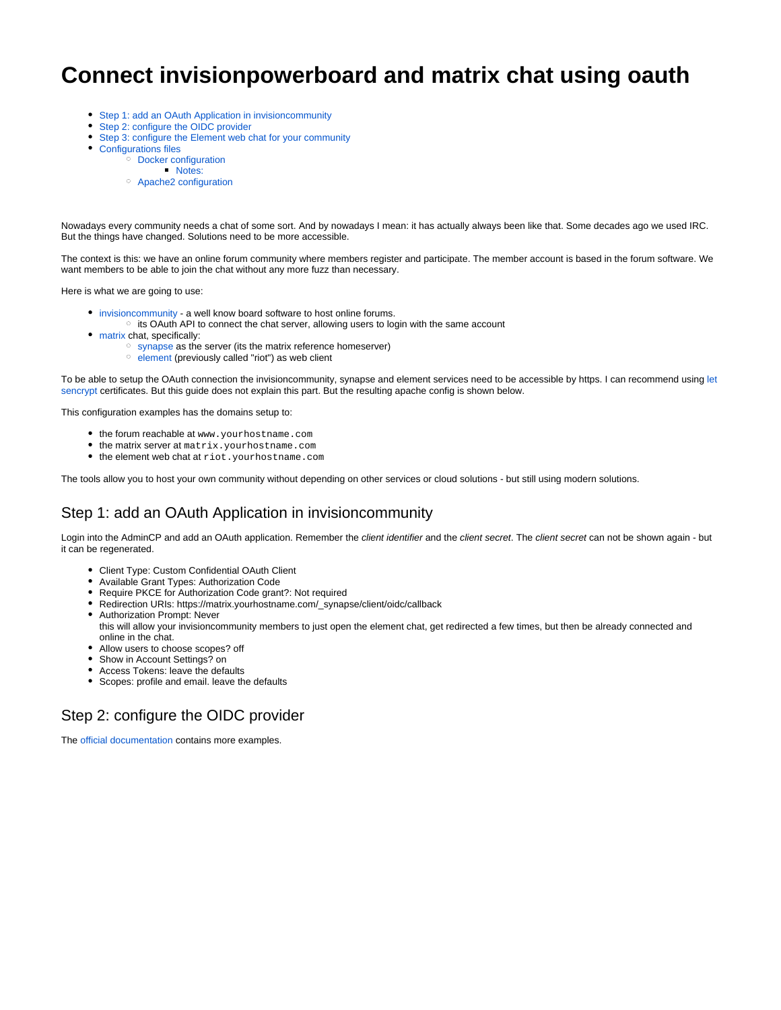# **Connect invisionpowerboard and matrix chat using oauth**

- [Step 1: add an OAuth Application in invisioncommunity](#page-0-0)
- $\bullet$ [Step 2: configure the OIDC provider](#page-0-1)
- [Step 3: configure the Element web chat for your community](#page-1-0)
- [Configurations files](#page-2-0)
	- <sup>o</sup> [Docker configuration](#page-2-1)
		- **[Notes:](#page-3-0)**
	- [Apache2 configuration](#page-3-1)

Nowadays every community needs a chat of some sort. And by nowadays I mean: it has actually always been like that. Some decades ago we used IRC. But the things have changed. Solutions need to be more accessible.

The context is this: we have an online forum community where members register and participate. The member account is based in the forum software. We want members to be able to join the chat without any more fuzz than necessary.

Here is what we are going to use:

- [invisioncommunity](https://invisioncommunity.com/) a well know board software to host online forums.
- $\circ$  its OAuth API to connect the chat server, allowing users to login with the same account
- [matrix](https://matrix.org/) chat, specifically:
	- <sup>o</sup> [synapse](https://github.com/matrix-org/synapse) as the server (its the matrix reference homeserver)
	- $\circ$  [element](https://element.io/) (previously called "riot") as web client

To be able to setup the OAuth connection the invisioncommunity, synapse and element services need to be accessible by https. I can recommend using [let](https://letsencrypt.org/) [sencrypt](https://letsencrypt.org/) certificates. But this guide does not explain this part. But the resulting apache config is shown below.

This configuration examples has the domains setup to:

- the forum reachable at www.yourhostname.com
- the matrix server at matrix.yourhostname.com
- the element web chat at riot.yourhostname.com

The tools allow you to host your own community without depending on other services or cloud solutions - but still using modern solutions.

# <span id="page-0-0"></span>Step 1: add an OAuth Application in invisioncommunity

Login into the AdminCP and add an OAuth application. Remember the client identifier and the client secret. The client secret can not be shown again - but it can be regenerated.

- Client Type: Custom Confidential OAuth Client
- Available Grant Types: Authorization Code
- Require PKCE for Authorization Code grant?: Not required
- Redirection URIs: https://matrix.yourhostname.com/\_synapse/client/oidc/callback
- Authorization Prompt: Never this will allow your invisioncommunity members to just open the element chat, get redirected a few times, but then be already connected and online in the chat.
- Allow users to choose scopes? off
- Show in Account Settings? on
- Access Tokens: leave the defaults
- Scopes: profile and email. leave the defaults

## <span id="page-0-1"></span>Step 2: configure the OIDC provider

The [official documentation](https://matrix-org.github.io/synapse/latest/openid.html) contains more examples.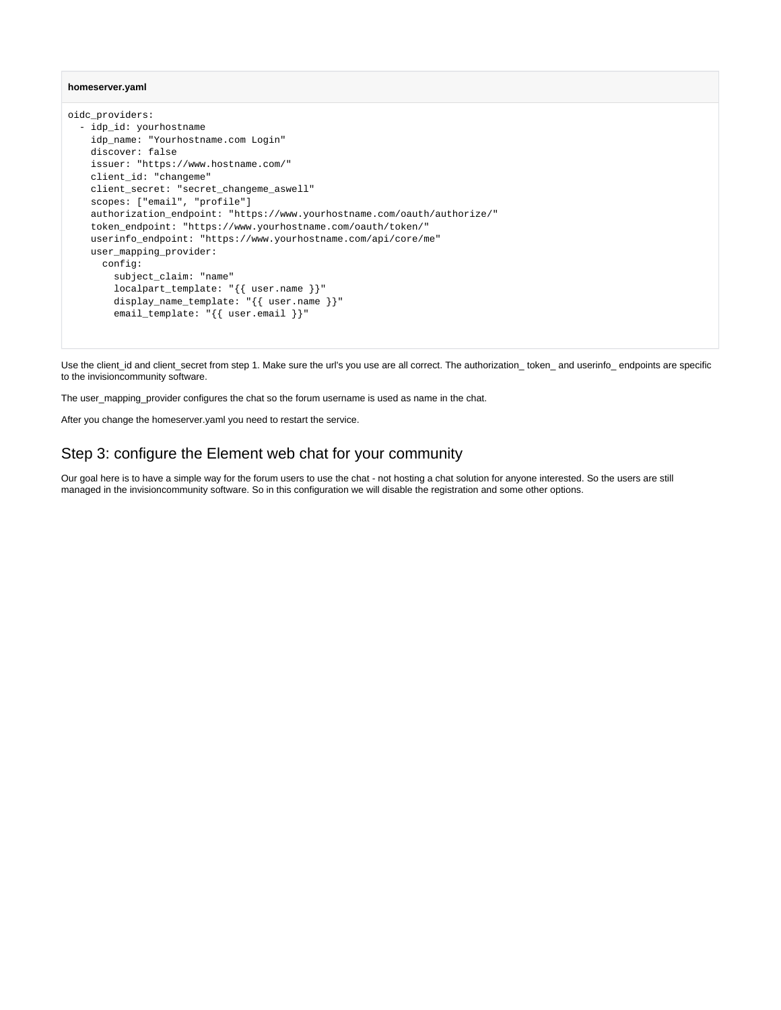#### **homeserver.yaml**

```
oidc_providers:
   - idp_id: yourhostname
     idp_name: "Yourhostname.com Login"
    discover: false
    issuer: "https://www.hostname.com/"
    client_id: "changeme"
    client_secret: "secret_changeme_aswell"
     scopes: ["email", "profile"]
    authorization_endpoint: "https://www.yourhostname.com/oauth/authorize/"
     token_endpoint: "https://www.yourhostname.com/oauth/token/"
    userinfo_endpoint: "https://www.yourhostname.com/api/core/me"
    user_mapping_provider:
       config:
         subject_claim: "name"
         localpart_template: "{{ user.name }}"
       display_name_template: "{{ user.name }}"
         email_template: "{{ user.email }}"
```
Use the client\_id and client\_secret from step 1. Make sure the url's you use are all correct. The authorization\_ token\_ and userinfo\_ endpoints are specific to the invisioncommunity software.

The user\_mapping\_provider configures the chat so the forum username is used as name in the chat.

After you change the homeserver.yaml you need to restart the service.

### <span id="page-1-0"></span>Step 3: configure the Element web chat for your community

Our goal here is to have a simple way for the forum users to use the chat - not hosting a chat solution for anyone interested. So the users are still managed in the invisioncommunity software. So in this configuration we will disable the registration and some other options.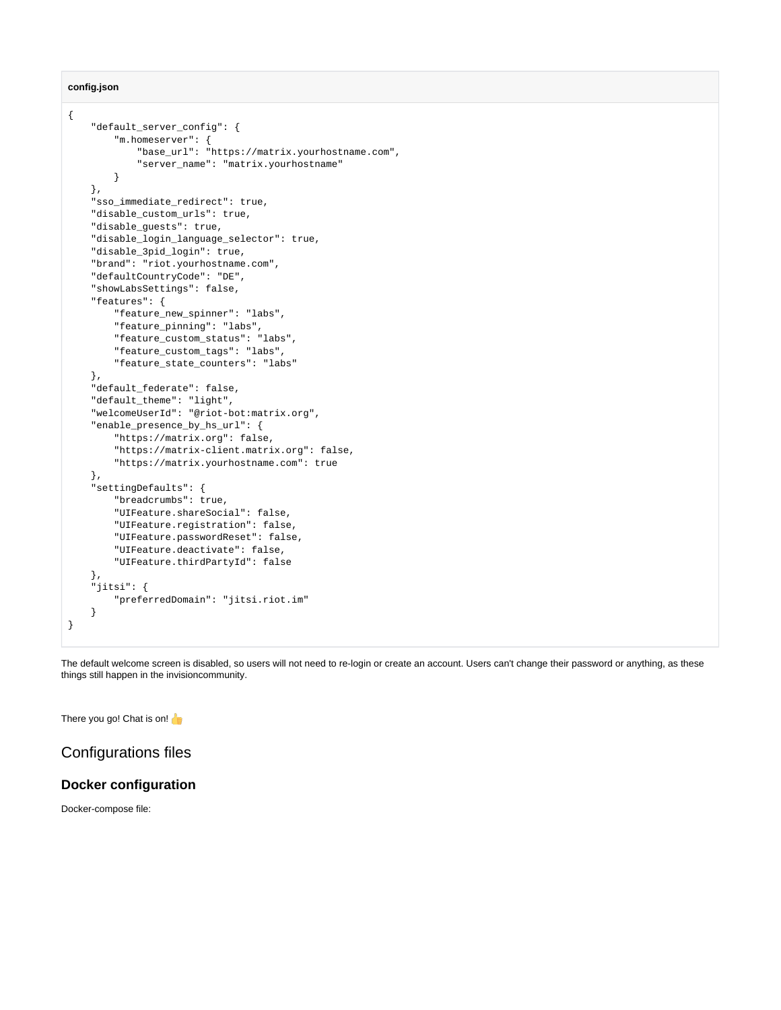**config.json**

```
{
     "default_server_config": {
         "m.homeserver": {
             "base_url": "https://matrix.yourhostname.com",
             "server_name": "matrix.yourhostname"
         }
     },
     "sso_immediate_redirect": true,
     "disable_custom_urls": true,
     "disable_guests": true,
     "disable_login_language_selector": true,
     "disable_3pid_login": true,
     "brand": "riot.yourhostname.com",
     "defaultCountryCode": "DE",
     "showLabsSettings": false,
     "features": {
         "feature_new_spinner": "labs",
         "feature_pinning": "labs",
         "feature_custom_status": "labs",
         "feature_custom_tags": "labs",
         "feature_state_counters": "labs"
     },
     "default_federate": false,
     "default_theme": "light",
     "welcomeUserId": "@riot-bot:matrix.org",
     "enable_presence_by_hs_url": {
         "https://matrix.org": false,
         "https://matrix-client.matrix.org": false,
         "https://matrix.yourhostname.com": true
     },
     "settingDefaults": {
         "breadcrumbs": true,
         "UIFeature.shareSocial": false,
         "UIFeature.registration": false,
         "UIFeature.passwordReset": false,
         "UIFeature.deactivate": false,
         "UIFeature.thirdPartyId": false
     },
     "jitsi": {
         "preferredDomain": "jitsi.riot.im"
     }
}
```
The default welcome screen is disabled, so users will not need to re-login or create an account. Users can't change their password or anything, as these things still happen in the invisioncommunity.

There you go! Chat is on!

## <span id="page-2-0"></span>Configurations files

#### <span id="page-2-1"></span>**Docker configuration**

Docker-compose file: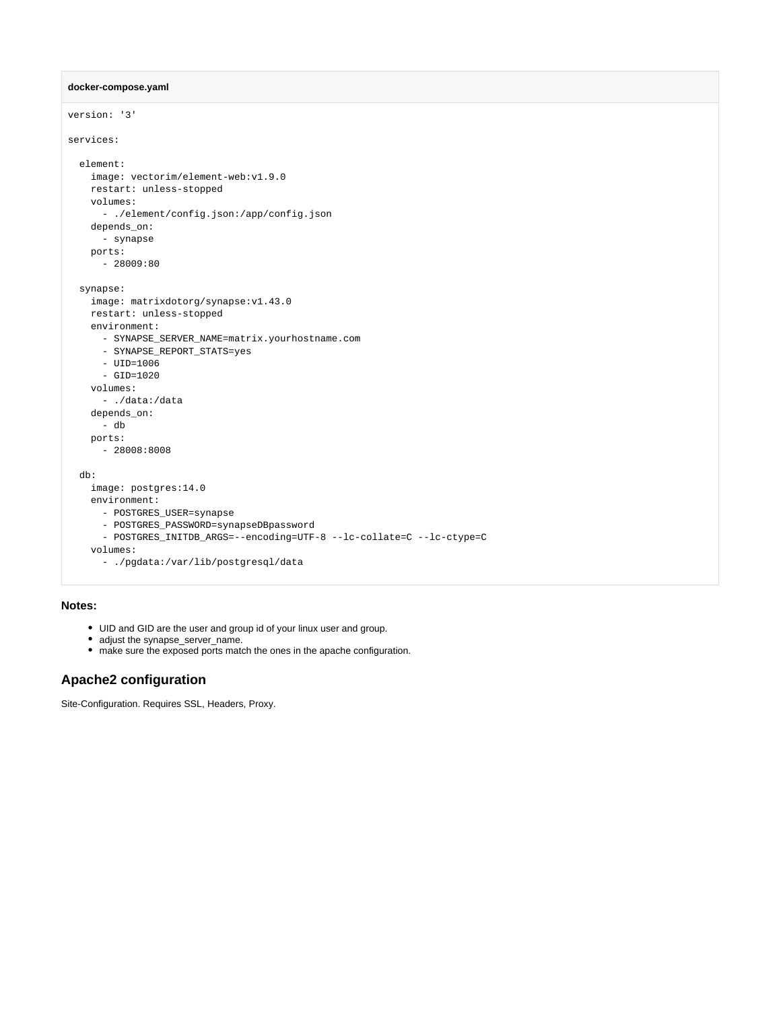```
docker-compose.yaml
```

```
version: '3'
services:
  element:
    image: vectorim/element-web:v1.9.0
    restart: unless-stopped
    volumes:
      - ./element/config.json:/app/config.json
    depends_on:
      - synapse
    ports:
     -28009:80 synapse:
    image: matrixdotorg/synapse:v1.43.0
    restart: unless-stopped
    environment:
      - SYNAPSE_SERVER_NAME=matrix.yourhostname.com
      - SYNAPSE_REPORT_STATS=yes
      - UID=1006
       - GID=1020
    volumes:
       - ./data:/data
    depends_on:
     - db
    ports:
       - 28008:8008
  db:
    image: postgres:14.0
    environment:
      - POSTGRES_USER=synapse
      - POSTGRES_PASSWORD=synapseDBpassword
       - POSTGRES_INITDB_ARGS=--encoding=UTF-8 --lc-collate=C --lc-ctype=C
    volumes:
       - ./pgdata:/var/lib/postgresql/data
```
#### <span id="page-3-0"></span>**Notes:**

- UID and GID are the user and group id of your linux user and group.
- adjust the synapse\_server\_name.
- make sure the exposed ports match the ones in the apache configuration.

### <span id="page-3-1"></span>**Apache2 configuration**

Site-Configuration. Requires SSL, Headers, Proxy.